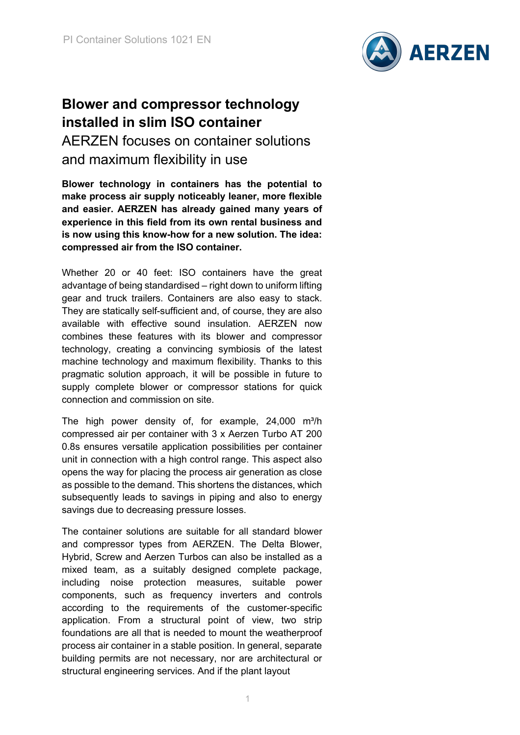

## **Blower and compressor technology installed in slim ISO container** AERZEN focuses on container solutions and maximum flexibility in use

**Blower technology in containers has the potential to make process air supply noticeably leaner, more flexible and easier. AERZEN has already gained many years of experience in this field from its own rental business and is now using this know-how for a new solution. The idea: compressed air from the ISO container.** 

Whether 20 or 40 feet: ISO containers have the great advantage of being standardised – right down to uniform lifting gear and truck trailers. Containers are also easy to stack. They are statically self-sufficient and, of course, they are also available with effective sound insulation. AERZEN now combines these features with its blower and compressor technology, creating a convincing symbiosis of the latest machine technology and maximum flexibility. Thanks to this pragmatic solution approach, it will be possible in future to supply complete blower or compressor stations for quick connection and commission on site.

The high power density of, for example,  $24,000$  m<sup>3</sup>/h compressed air per container with 3 x Aerzen Turbo AT 200 0.8s ensures versatile application possibilities per container unit in connection with a high control range. This aspect also opens the way for placing the process air generation as close as possible to the demand. This shortens the distances, which subsequently leads to savings in piping and also to energy savings due to decreasing pressure losses.

The container solutions are suitable for all standard blower and compressor types from AERZEN. The Delta Blower, Hybrid, Screw and Aerzen Turbos can also be installed as a mixed team, as a suitably designed complete package, including noise protection measures, suitable power components, such as frequency inverters and controls according to the requirements of the customer-specific application. From a structural point of view, two strip foundations are all that is needed to mount the weatherproof process air container in a stable position. In general, separate building permits are not necessary, nor are architectural or structural engineering services. And if the plant layout